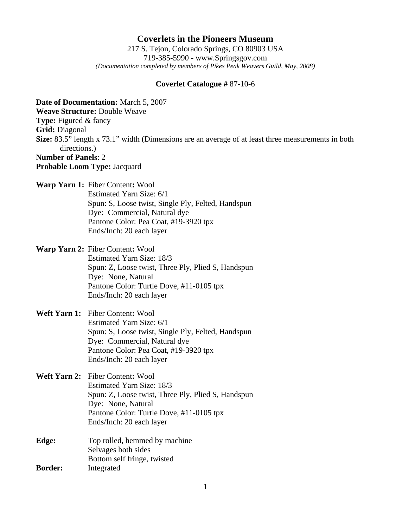# **Coverlets in the Pioneers Museum**

217 S. Tejon, Colorado Springs, CO 80903 USA 719-385-5990 - www.Springsgov.com *(Documentation completed by members of Pikes Peak Weavers Guild, May, 2008)* 

### **Coverlet Catalogue #** 87-10-6

**Date of Documentation:** March 5, 2007 **Weave Structure:** Double Weave **Type:** Figured & fancy **Grid:** Diagonal **Size:** 83.5" length x 73.1" width (Dimensions are an average of at least three measurements in both directions.) **Number of Panels**: 2 **Probable Loom Type:** Jacquard **Warp Yarn 1:** Fiber Content**:** Wool Estimated Yarn Size: 6/1 Spun: S, Loose twist, Single Ply, Felted, Handspun Dye: Commercial, Natural dye Pantone Color: Pea Coat, #19-3920 tpx Ends/Inch: 20 each layer **Warp Yarn 2:** Fiber Content**:** Wool Estimated Yarn Size: 18/3 Spun: Z, Loose twist, Three Ply, Plied S, Handspun Dye: None, Natural Pantone Color: Turtle Dove, #11-0105 tpx Ends/Inch: 20 each layer **Weft Yarn 1:** Fiber Content**:** Wool Estimated Yarn Size: 6/1 Spun: S, Loose twist, Single Ply, Felted, Handspun Dye: Commercial, Natural dye Pantone Color: Pea Coat, #19-3920 tpx Ends/Inch: 20 each layer **Weft Yarn 2:** Fiber Content**:** Wool Estimated Yarn Size: 18/3 Spun: Z, Loose twist, Three Ply, Plied S, Handspun Dye: None, Natural Pantone Color: Turtle Dove, #11-0105 tpx Ends/Inch: 20 each layer

### **Edge:** Top rolled, hemmed by machine Selvages both sides Bottom self fringe, twisted **Border:** Integrated